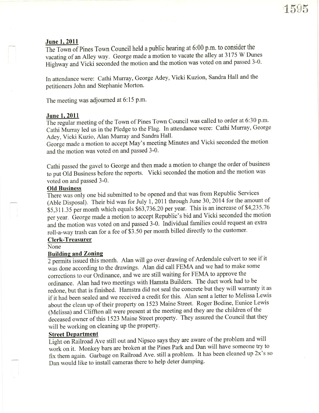<u>June 1, 2011</u>  $\frac{1}{2}$   $\frac{1}{2}$   $\frac{1}{2}$   $\frac{1}{2}$   $\frac{1}{2}$   $\frac{1}{2}$   $\frac{1}{2}$   $\frac{1}{2}$   $\frac{1}{2}$   $\frac{1}{2}$   $\frac{1}{2}$   $\frac{1}{2}$   $\frac{1}{2}$   $\frac{1}{2}$   $\frac{1}{2}$   $\frac{1}{2}$   $\frac{1}{2}$   $\frac{1}{2}$   $\frac{1}{2}$   $\frac{1}{2}$   $\frac{1}{$ The Town of Pines Town Council held a public hearing at  $6:00$  p.m. to consider the vacating of an Alley way. George made a motion to vacate the alley at 3175 W Dunes Highway and Vicki seconded the motion and the motion was voted on and passed 3-0.

In attendance were: Cathi Murray, George Adey, Vicki Kuzion, Sandra Hall and the petitioners John and Stephanie Morton.

The meeting was adjoumed at 6:15 p.m.

## June 1, 2011

The regular meeting of the Town of Pines Town Council was called to order at 6:30 p.m. Cathi Murray led us in the Pledge to the Flag. In attendance were: Cathi Murray, George Adey, Vicki Kuzio, Alan Murray and Sandra Hall.

George made a motion to accept May's meeting Minutes and Vicki seconded the motion and the motion was voted on and passed 3-0.

Cathi passed the gavel to George and then made a motion to change the order of business to put Old Business before the reports. Vicki seconded the motion and the motion was voted on and passed 3-0.

## Old Business

There was only one bid submitted to be opened and that was from Republic Services (Able Disposal). Their bid was for July 1, 2011 through June 30, 2014 for the amount of  $$5,311.35$  per month which equals  $$63,736.20$  per year. This is an increase of  $$4,235.76$ per year. George made a motion to accept Republic's bid and Vicki seconded the motion and the motion was voted on and passed 3-0. Individual families could request an extra roll-a-way trash can for a fee of \$3.50 per month billed directly to the customer.

### Clerk-Treasurer

#### None

### **Building and Zoning**

2 permits issued this month. Alan will go over drawing of Ardendale culvert to see if it was done according to the drawings. Alan did call FEMA and we had to make some corrections to our Ordinance, and we are still waiting for FEMA to approve the ordinance. Alan had two meetings with Hamsta Builders. The duct work had to be redone, but that is finished. Hamstra did not seal the concrete but they will warranty it as if it had been sealed and we received a credit for this. Alan sent a letter to Melissa Lewis about the clean up of their property on 1523 Maine Street. Roger Bodine, Eunice Lewis (Melissa) and Clffion all were present at the meeting and they are the children of the deceased owner of this 1523 Maine Street property. They assured the Council that they will be working on cleaning up the property.

# Street Denartment

Light on Railroad Ave still out and Nipsco says they are aware of the problem and will work on it. Monkey bars are broken at the Pines Park and Dan will have someone try to fix them again. Garbage on Railroad Ave. still a problem. It has been cleaned up  $2x$ 's so Dan would like to install cameras there to help deter dumping.